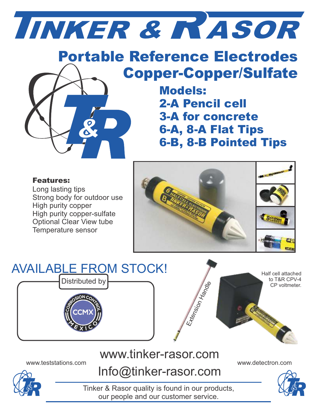# R & ASOR

## Portable Reference Electrodes Copper-Copper/Sulfate

Models: 2-A Pencil cell 3-A for concrete 6-A, 8-A Flat Tips 6-B, 8-B Pointed Tips

#### Features:

Long lasting tips Strong body for outdoor use High purity copper High purity copper-sulfate Optional Clear View tube Temperature sensor





## www.tinker-rasor.com

www.teststations.com www.detectron.com Info@tinker-rasor.com



Tinker & Rasor quality is found in our products, our people and our customer service.